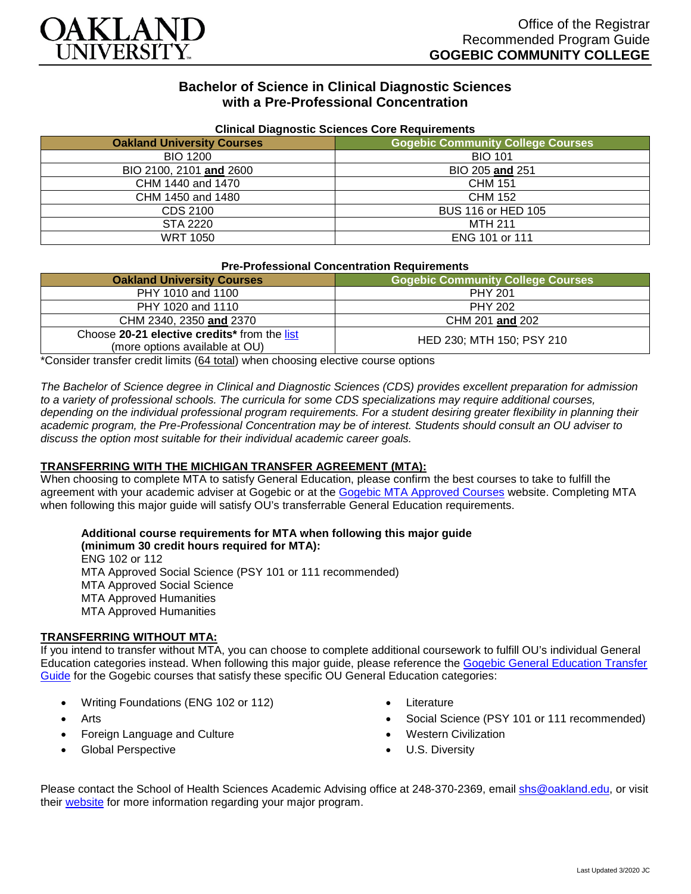

# **Bachelor of Science in Clinical Diagnostic Sciences with a Pre-Professional Concentration**

| Cilincal Diagnostic Sciences Core Requirements |                                          |
|------------------------------------------------|------------------------------------------|
| <b>Oakland University Courses</b>              | <b>Gogebic Community College Courses</b> |
| <b>BIO 1200</b>                                | <b>BIO 101</b>                           |
| BIO 2100, 2101 and 2600                        | BIO 205 and 251                          |
| CHM 1440 and 1470                              | <b>CHM 151</b>                           |
| CHM 1450 and 1480                              | <b>CHM 152</b>                           |
| CDS 2100                                       | BUS 116 or HED 105                       |
| STA 2220                                       | <b>MTH 211</b>                           |
| <b>WRT 1050</b>                                | ENG 101 or 111                           |

### **Clinical Diagnostic Sciences Core Requirements**

### **Pre-Professional Concentration Requirements**

| <b>Oakland University Courses</b>                                              | <b>Gogebic Community College Courses</b> |
|--------------------------------------------------------------------------------|------------------------------------------|
| PHY 1010 and 1100                                                              | PHY 201                                  |
| PHY 1020 and 1110                                                              | <b>PHY 202</b>                           |
| CHM 2340, 2350 and 2370                                                        | CHM 201 and 202                          |
| Choose 20-21 elective credits* from the list<br>(more options available at OU) | HED 230; MTH 150; PSY 210                |

\*Consider transfer credit limits (64 total) when choosing elective course options

*The Bachelor of Science degree in Clinical and Diagnostic Sciences (CDS) provides excellent preparation for admission*  to a variety of professional schools. The curricula for some CDS specializations may require additional courses, depending on the individual professional program requirements. For a student desiring greater flexibility in planning their *academic program, the Pre-Professional Concentration may be of interest. Students should consult an OU adviser to discuss the option most suitable for their individual academic career goals.*

### **TRANSFERRING WITH THE MICHIGAN TRANSFER AGREEMENT (MTA):**

When choosing to complete MTA to satisfy General Education, please confirm the best courses to take to fulfill the agreement with your academic adviser at Gogebic or at the [Gogebic MTA Approved Courses](https://www.gogebic.edu/Academics/transferinformation.html) website. Completing MTA when following this major guide will satisfy OU's transferrable General Education requirements.

### **Additional course requirements for MTA when following this major guide (minimum 30 credit hours required for MTA):**

ENG 102 or 112 MTA Approved Social Science (PSY 101 or 111 recommended) MTA Approved Social Science MTA Approved Humanities MTA Approved Humanities

### **TRANSFERRING WITHOUT MTA:**

If you intend to transfer without MTA, you can choose to complete additional coursework to fulfill OU's individual General Education categories instead. When following this major guide, please reference the [Gogebic General Education Transfer](https://www.oakland.edu/Assets/Oakland/program-guides/gogebic-community-college/university-general-education-requirements/Gogebic%20Gen%20Ed.pdf)  [Guide](https://www.oakland.edu/Assets/Oakland/program-guides/gogebic-community-college/university-general-education-requirements/Gogebic%20Gen%20Ed.pdf) for the Gogebic courses that satisfy these specific OU General Education categories:

- Writing Foundations (ENG 102 or 112)
- Arts
- Foreign Language and Culture
- Global Perspective
- **Literature**
- Social Science (PSY 101 or 111 recommended)
- Western Civilization
- U.S. Diversity

Please contact the School of Health Sciences Academic Advising office at 248-370-2369, email [shs@oakland.edu,](mailto:shs@oakland.edu) or visit their [website](http://www.oakland.edu/shs/advising) for more information regarding your major program.